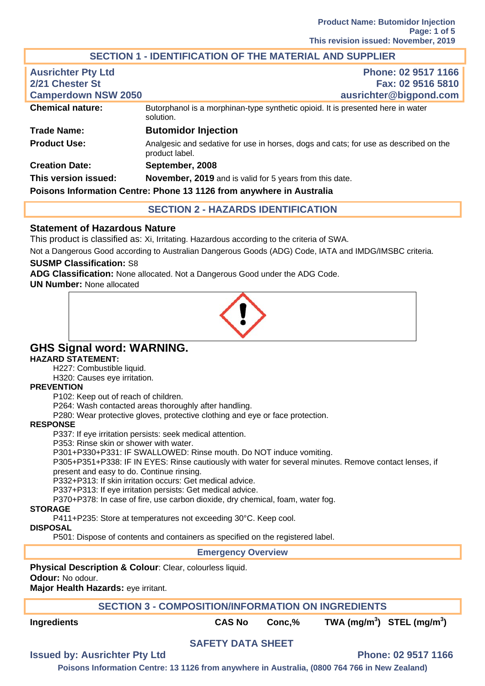# **SECTION 1 - IDENTIFICATION OF THE MATERIAL AND SUPPLIER**

| <b>Ausrichter Pty Ltd</b><br>2/21 Chester St<br><b>Camperdown NSW 2050</b> | Phone: 02 9517 1166<br>Fax: 02 9516 5810<br>ausrichter@bigpond.com                                     |
|----------------------------------------------------------------------------|--------------------------------------------------------------------------------------------------------|
| <b>Chemical nature:</b>                                                    | Butorphanol is a morphinan-type synthetic opioid. It is presented here in water<br>solution.           |
| <b>Trade Name:</b>                                                         | <b>Butomidor Injection</b>                                                                             |
| <b>Product Use:</b>                                                        | Analgesic and sedative for use in horses, dogs and cats; for use as described on the<br>product label. |
| <b>Creation Date:</b>                                                      | September, 2008                                                                                        |
| This version issued:                                                       | November, 2019 and is valid for 5 years from this date.                                                |
|                                                                            | Poisons Information Centre: Phone 13 1126 from anywhere in Australia                                   |

## **SECTION 2 - HAZARDS IDENTIFICATION**

## **Statement of Hazardous Nature**

This product is classified as: Xi, Irritating. Hazardous according to the criteria of SWA.

Not a Dangerous Good according to Australian Dangerous Goods (ADG) Code, IATA and IMDG/IMSBC criteria.

#### **SUSMP Classification:** S8

**ADG Classification:** None allocated. Not a Dangerous Good under the ADG Code.

**UN Number:** None allocated



# **GHS Signal word: WARNING.**

#### **HAZARD STATEMENT:**

H227: Combustible liquid.

H320: Causes eye irritation.

#### **PREVENTION**

P102: Keep out of reach of children.

P264: Wash contacted areas thoroughly after handling.

P280: Wear protective gloves, protective clothing and eye or face protection.

#### **RESPONSE**

P337: If eye irritation persists: seek medical attention.

P353: Rinse skin or shower with water.

P301+P330+P331: IF SWALLOWED: Rinse mouth. Do NOT induce vomiting.

P305+P351+P338: IF IN EYES: Rinse cautiously with water for several minutes. Remove contact lenses, if present and easy to do. Continue rinsing.

P332+P313: If skin irritation occurs: Get medical advice.

P337+P313: If eye irritation persists: Get medical advice.

P370+P378: In case of fire, use carbon dioxide, dry chemical, foam, water fog.

#### **STORAGE**

P411+P235: Store at temperatures not exceeding 30°C. Keep cool.

#### **DISPOSAL**

P501: Dispose of contents and containers as specified on the registered label.

#### **Emergency Overview**

**Physical Description & Colour**: Clear, colourless liquid. **Odour:** No odour. **Major Health Hazards:** eye irritant.

## **SECTION 3 - COMPOSITION/INFORMATION ON INGREDIENTS**

**Ingredients CAS No Conc,% TWA (mg/m<sup>3</sup> ) STEL (mg/m<sup>3</sup> )** 

# **SAFETY DATA SHEET**

# **Issued by: Ausrichter Pty Ltd Phone: 02 9517 1166**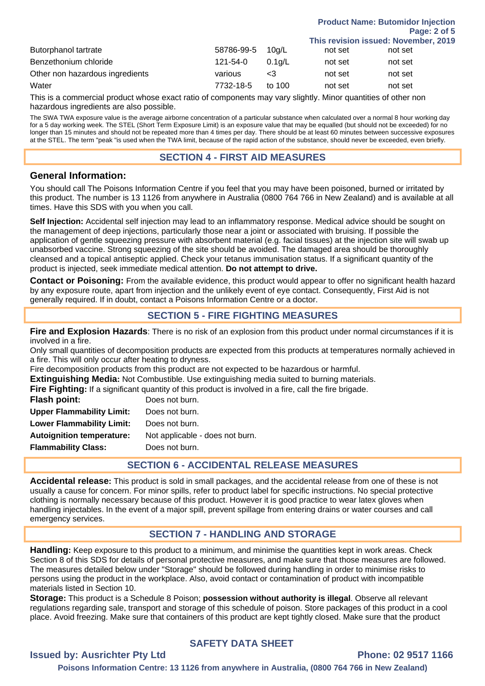|                                 |            |           |         | This revision issued: November, 2019 |
|---------------------------------|------------|-----------|---------|--------------------------------------|
| Butorphanol tartrate            | 58786-99-5 | 10q/L     | not set | not set                              |
| Benzethonium chloride           | 121-54-0   | $0.1$ a/L | not set | not set                              |
| Other non hazardous ingredients | various    | ە>        | not set | not set                              |
| Water                           | 7732-18-5  | to $100$  | not set | not set                              |

This is a commercial product whose exact ratio of components may vary slightly. Minor quantities of other non hazardous ingredients are also possible.

The SWA TWA exposure value is the average airborne concentration of a particular substance when calculated over a normal 8 hour working day for a 5 day working week. The STEL (Short Term Exposure Limit) is an exposure value that may be equalled (but should not be exceeded) for no longer than 15 minutes and should not be repeated more than 4 times per day. There should be at least 60 minutes between successive exposures at the STEL. The term "peak "is used when the TWA limit, because of the rapid action of the substance, should never be exceeded, even briefly.

#### **SECTION 4 - FIRST AID MEASURES**

#### **General Information:**

You should call The Poisons Information Centre if you feel that you may have been poisoned, burned or irritated by this product. The number is 13 1126 from anywhere in Australia (0800 764 766 in New Zealand) and is available at all times. Have this SDS with you when you call.

**Self Injection:** Accidental self injection may lead to an inflammatory response. Medical advice should be sought on the management of deep injections, particularly those near a joint or associated with bruising. If possible the application of gentle squeezing pressure with absorbent material (e.g. facial tissues) at the injection site will swab up unabsorbed vaccine. Strong squeezing of the site should be avoided. The damaged area should be thoroughly cleansed and a topical antiseptic applied. Check your tetanus immunisation status. If a significant quantity of the product is injected, seek immediate medical attention. **Do not attempt to drive.**

**Contact or Poisoning:** From the available evidence, this product would appear to offer no significant health hazard by any exposure route, apart from injection and the unlikely event of eye contact. Consequently, First Aid is not generally required. If in doubt, contact a Poisons Information Centre or a doctor.

## **SECTION 5 - FIRE FIGHTING MEASURES**

**Fire and Explosion Hazards**: There is no risk of an explosion from this product under normal circumstances if it is involved in a fire.

Only small quantities of decomposition products are expected from this products at temperatures normally achieved in a fire. This will only occur after heating to dryness.

Fire decomposition products from this product are not expected to be hazardous or harmful.

**Extinguishing Media:** Not Combustible. Use extinguishing media suited to burning materials.

**Fire Fighting:** If a significant quantity of this product is involved in a fire, call the fire brigade.

| Does not burn.                  |
|---------------------------------|
| Does not burn.                  |
| Does not burn.                  |
| Not applicable - does not burn. |
| Does not burn.                  |
|                                 |

## **SECTION 6 - ACCIDENTAL RELEASE MEASURES**

**Accidental release:** This product is sold in small packages, and the accidental release from one of these is not usually a cause for concern. For minor spills, refer to product label for specific instructions. No special protective clothing is normally necessary because of this product. However it is good practice to wear latex gloves when handling injectables. In the event of a major spill, prevent spillage from entering drains or water courses and call emergency services.

## **SECTION 7 - HANDLING AND STORAGE**

**Handling:** Keep exposure to this product to a minimum, and minimise the quantities kept in work areas. Check Section 8 of this SDS for details of personal protective measures, and make sure that those measures are followed. The measures detailed below under "Storage" should be followed during handling in order to minimise risks to persons using the product in the workplace. Also, avoid contact or contamination of product with incompatible materials listed in Section 10.

**Storage:** This product is a Schedule 8 Poison; **possession without authority is illegal**. Observe all relevant regulations regarding sale, transport and storage of this schedule of poison. Store packages of this product in a cool place. Avoid freezing. Make sure that containers of this product are kept tightly closed. Make sure that the product

## **SAFETY DATA SHEET**

#### **Issued by: Ausrichter Pty Ltd Phone: 02 9517 1166**

**Product Name: Butomidor Injection** 

**Page: 2 of 5**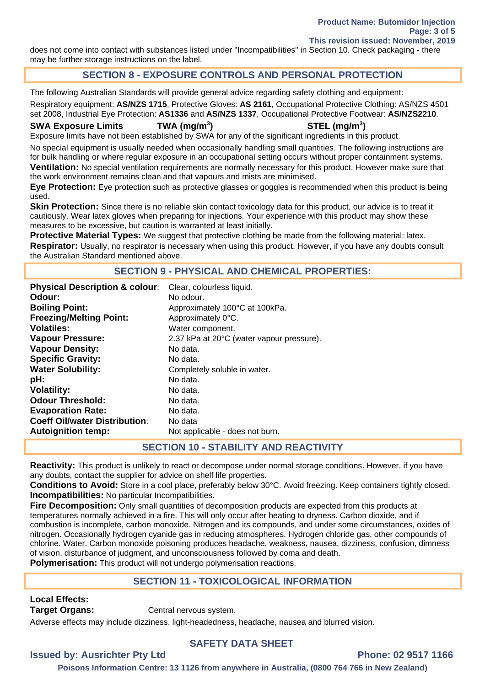does not come into contact with substances listed under "Incompatibilities" in Section 10. Check packaging - there may be further storage instructions on the label.

# **SECTION 8 - EXPOSURE CONTROLS AND PERSONAL PROTECTION**

The following Australian Standards will provide general advice regarding safety clothing and equipment:

Respiratory equipment: **AS/NZS 1715**, Protective Gloves: **AS 2161**, Occupational Protective Clothing: AS/NZS 4501 set 2008, Industrial Eye Protection: **AS1336** and **AS/NZS 1337**, Occupational Protective Footwear: **AS/NZS2210**.

#### **SWA Exposure Limits TWA (mg/m<sup>3</sup>**

**) STEL (mg/m<sup>3</sup> )** 

Exposure limits have not been established by SWA for any of the significant ingredients in this product.

No special equipment is usually needed when occasionally handling small quantities. The following instructions are for bulk handling or where regular exposure in an occupational setting occurs without proper containment systems. **Ventilation:** No special ventilation requirements are normally necessary for this product. However make sure that the work environment remains clean and that vapours and mists are minimised.

**Eye Protection:** Eye protection such as protective glasses or goggles is recommended when this product is being used.

**Skin Protection:** Since there is no reliable skin contact toxicology data for this product, our advice is to treat it cautiously. Wear latex gloves when preparing for injections. Your experience with this product may show these measures to be excessive, but caution is warranted at least initially.

**Protective Material Types:** We suggest that protective clothing be made from the following material: latex. **Respirator:** Usually, no respirator is necessary when using this product. However, if you have any doubts consult the Australian Standard mentioned above.

## **SECTION 9 - PHYSICAL AND CHEMICAL PROPERTIES:**

| <b>Physical Description &amp; colour:</b> | Clear, colourless liquid.                 |
|-------------------------------------------|-------------------------------------------|
| Odour:                                    | No odour.                                 |
| <b>Boiling Point:</b>                     | Approximately 100°C at 100kPa.            |
| <b>Freezing/Melting Point:</b>            | Approximately 0°C.                        |
| Volatiles:                                | Water component.                          |
| <b>Vapour Pressure:</b>                   | 2.37 kPa at 20°C (water vapour pressure). |
| <b>Vapour Density:</b>                    | No data.                                  |
| <b>Specific Gravity:</b>                  | No data.                                  |
| <b>Water Solubility:</b>                  | Completely soluble in water.              |
| pH:                                       | No data.                                  |
| <b>Volatility:</b>                        | No data.                                  |
| <b>Odour Threshold:</b>                   | No data.                                  |
| <b>Evaporation Rate:</b>                  | No data.                                  |
| <b>Coeff Oil/water Distribution:</b>      | No data                                   |
| <b>Autoignition temp:</b>                 | Not applicable - does not burn.           |

## **SECTION 10 - STABILITY AND REACTIVITY**

**Reactivity:** This product is unlikely to react or decompose under normal storage conditions. However, if you have any doubts, contact the supplier for advice on shelf life properties.

**Conditions to Avoid:** Store in a cool place, preferably below 30°C. Avoid freezing. Keep containers tightly closed. **Incompatibilities:** No particular Incompatibilities.

**Fire Decomposition:** Only small quantities of decomposition products are expected from this products at temperatures normally achieved in a fire. This will only occur after heating to dryness. Carbon dioxide, and if combustion is incomplete, carbon monoxide. Nitrogen and its compounds, and under some circumstances, oxides of nitrogen. Occasionally hydrogen cyanide gas in reducing atmospheres. Hydrogen chloride gas, other compounds of chlorine. Water. Carbon monoxide poisoning produces headache, weakness, nausea, dizziness, confusion, dimness of vision, disturbance of judgment, and unconsciousness followed by coma and death.

**Polymerisation:** This product will not undergo polymerisation reactions.

# **SECTION 11 - TOXICOLOGICAL INFORMATION**

# **Local Effects:**

**Target Organs: Central nervous system.** 

Adverse effects may include dizziness, light-headedness, headache, nausea and blurred vision.

## **SAFETY DATA SHEET**

# **Issued by: Ausrichter Pty Ltd Phone: 02 9517 1166**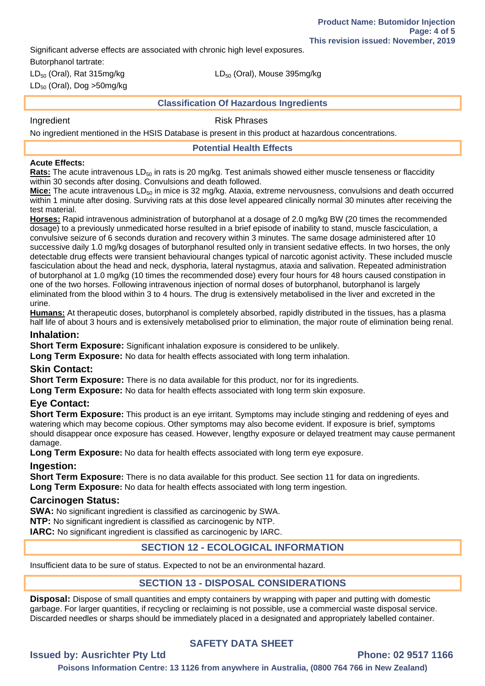Significant adverse effects are associated with chronic high level exposures.

Butorphanol tartrate:

 $LD_{50}$  (Oral), Dog >50mg/kg

 $LD_{50}$  (Oral), Rat 315mg/kg LD<sub>50</sub> (Oral), Mouse 395mg/kg

#### **Classification Of Hazardous Ingredients**

Ingredient **Risk Phrases** 

No ingredient mentioned in the HSIS Database is present in this product at hazardous concentrations.

**Potential Health Effects** 

#### **Acute Effects:**

**Rats:** The acute intravenous LD<sub>50</sub> in rats is 20 mg/kg. Test animals showed either muscle tenseness or flaccidity within 30 seconds after dosing. Convulsions and death followed.

Mice: The acute intravenous LD<sub>50</sub> in mice is 32 mg/kg. Ataxia, extreme nervousness, convulsions and death occurred within 1 minute after dosing. Surviving rats at this dose level appeared clinically normal 30 minutes after receiving the test material.

**Horses:** Rapid intravenous administration of butorphanol at a dosage of 2.0 mg/kg BW (20 times the recommended dosage) to a previously unmedicated horse resulted in a brief episode of inability to stand, muscle fasciculation, a convulsive seizure of 6 seconds duration and recovery within 3 minutes. The same dosage administered after 10 successive daily 1.0 mg/kg dosages of butorphanol resulted only in transient sedative effects. In two horses, the only detectable drug effects were transient behavioural changes typical of narcotic agonist activity. These included muscle fasciculation about the head and neck, dysphoria, lateral nystagmus, ataxia and salivation. Repeated administration of butorphanol at 1.0 mg/kg (10 times the recommended dose) every four hours for 48 hours caused constipation in one of the two horses. Following intravenous injection of normal doses of butorphanol, butorphanol is largely eliminated from the blood within 3 to 4 hours. The drug is extensively metabolised in the liver and excreted in the urine.

**Humans:** At therapeutic doses, butorphanol is completely absorbed, rapidly distributed in the tissues, has a plasma half life of about 3 hours and is extensively metabolised prior to elimination, the major route of elimination being renal.

## **Inhalation:**

**Short Term Exposure:** Significant inhalation exposure is considered to be unlikely.

**Long Term Exposure:** No data for health effects associated with long term inhalation.

## **Skin Contact:**

**Short Term Exposure:** There is no data available for this product, nor for its ingredients.

**Long Term Exposure:** No data for health effects associated with long term skin exposure.

## **Eye Contact:**

**Short Term Exposure:** This product is an eye irritant. Symptoms may include stinging and reddening of eyes and watering which may become copious. Other symptoms may also become evident. If exposure is brief, symptoms should disappear once exposure has ceased. However, lengthy exposure or delayed treatment may cause permanent damage.

**Long Term Exposure:** No data for health effects associated with long term eye exposure.

## **Ingestion:**

Short Term Exposure: There is no data available for this product. See section 11 for data on ingredients. **Long Term Exposure:** No data for health effects associated with long term ingestion.

## **Carcinogen Status:**

**SWA:** No significant ingredient is classified as carcinogenic by SWA. **NTP:** No significant ingredient is classified as carcinogenic by NTP. **IARC:** No significant ingredient is classified as carcinogenic by IARC.

# **SECTION 12 - ECOLOGICAL INFORMATION**

Insufficient data to be sure of status. Expected to not be an environmental hazard.

# **SECTION 13 - DISPOSAL CONSIDERATIONS**

**Disposal:** Dispose of small quantities and empty containers by wrapping with paper and putting with domestic garbage. For larger quantities, if recycling or reclaiming is not possible, use a commercial waste disposal service. Discarded needles or sharps should be immediately placed in a designated and appropriately labelled container.

# **SAFETY DATA SHEET**

## **Issued by: Ausrichter Pty Ltd Phone: 02 9517 1166**